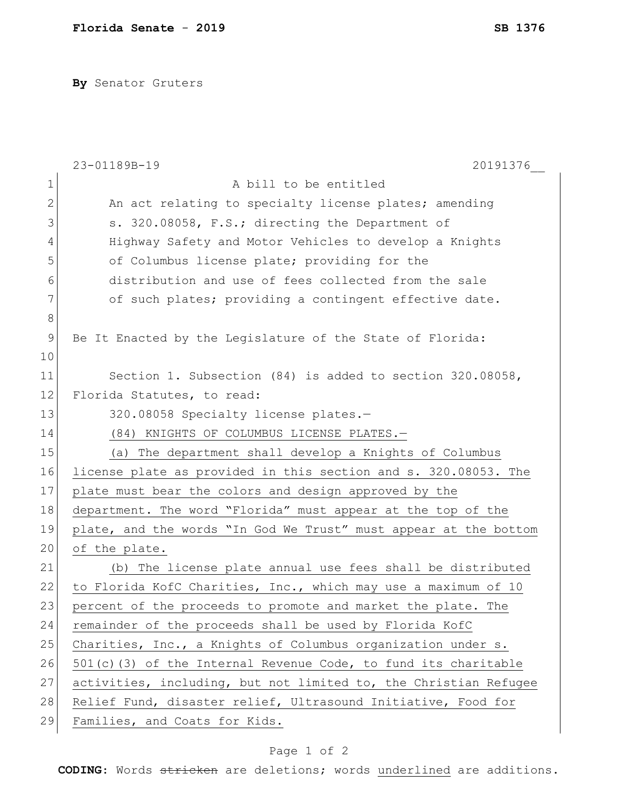**By** Senator Gruters

|               | 20191376<br>23-01189B-19                                          |
|---------------|-------------------------------------------------------------------|
| 1             | A bill to be entitled                                             |
| 2             | An act relating to specialty license plates; amending             |
| 3             | s. 320.08058, F.S.; directing the Department of                   |
| 4             | Highway Safety and Motor Vehicles to develop a Knights            |
| 5             | of Columbus license plate; providing for the                      |
| 6             | distribution and use of fees collected from the sale              |
| 7             | of such plates; providing a contingent effective date.            |
| 8             |                                                                   |
| $\mathcal{G}$ | Be It Enacted by the Legislature of the State of Florida:         |
| 10            |                                                                   |
| 11            | Section 1. Subsection $(84)$ is added to section 320.08058,       |
| 12            | Florida Statutes, to read:                                        |
| 13            | 320.08058 Specialty license plates.-                              |
| 14            | (84) KNIGHTS OF COLUMBUS LICENSE PLATES.-                         |
| 15            | (a) The department shall develop a Knights of Columbus            |
| 16            | license plate as provided in this section and s. 320.08053. The   |
| 17            | plate must bear the colors and design approved by the             |
| 18            | department. The word "Florida" must appear at the top of the      |
| 19            | plate, and the words "In God We Trust" must appear at the bottom  |
| 20            | of the plate.                                                     |
| 21            | The license plate annual use fees shall be distributed<br>(b)     |
| 22            | to Florida KofC Charities, Inc., which may use a maximum of 10    |
| 23            | percent of the proceeds to promote and market the plate. The      |
| 24            | remainder of the proceeds shall be used by Florida KofC           |
| 25            | Charities, Inc., a Knights of Columbus organization under s.      |
| 26            | $501(c)$ (3) of the Internal Revenue Code, to fund its charitable |
| 27            | activities, including, but not limited to, the Christian Refugee  |
| 28            | Relief Fund, disaster relief, Ultrasound Initiative, Food for     |
| 29            | Families, and Coats for Kids.                                     |

## Page 1 of 2

**CODING**: Words stricken are deletions; words underlined are additions.